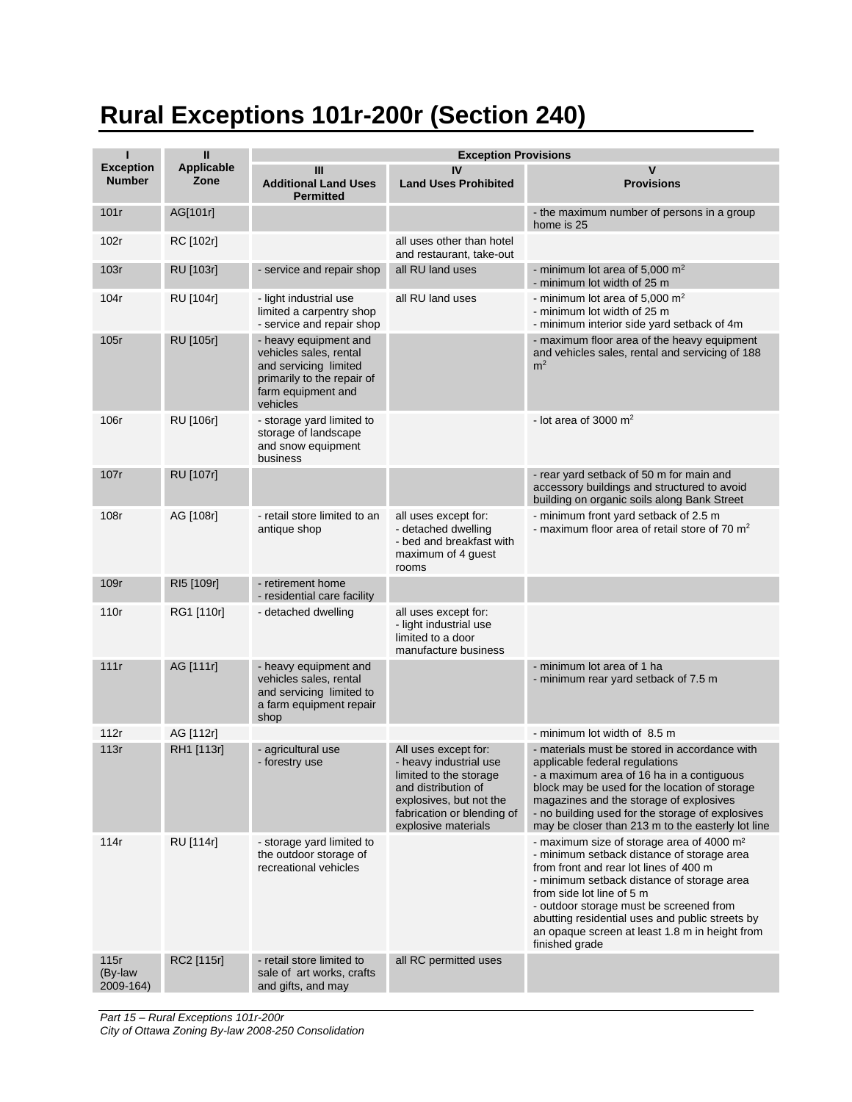## **Rural Exceptions 101r-200r (Section 240)**

| п                                 | Ш                         | <b>Exception Provisions</b>                                                                                                              |                                                                                                                                                                                 |                                                                                                                                                                                                                                                                                                                                                                                            |  |
|-----------------------------------|---------------------------|------------------------------------------------------------------------------------------------------------------------------------------|---------------------------------------------------------------------------------------------------------------------------------------------------------------------------------|--------------------------------------------------------------------------------------------------------------------------------------------------------------------------------------------------------------------------------------------------------------------------------------------------------------------------------------------------------------------------------------------|--|
| <b>Exception</b><br><b>Number</b> | <b>Applicable</b><br>Zone | Ш<br><b>Additional Land Uses</b><br><b>Permitted</b>                                                                                     | IV<br><b>Land Uses Prohibited</b>                                                                                                                                               | v<br><b>Provisions</b>                                                                                                                                                                                                                                                                                                                                                                     |  |
| 101r                              | AG[101r]                  |                                                                                                                                          |                                                                                                                                                                                 | - the maximum number of persons in a group<br>home is 25                                                                                                                                                                                                                                                                                                                                   |  |
| 102r                              | RC [102r]                 |                                                                                                                                          | all uses other than hotel<br>and restaurant, take-out                                                                                                                           |                                                                                                                                                                                                                                                                                                                                                                                            |  |
| 103r                              | RU [103r]                 | - service and repair shop                                                                                                                | all RU land uses                                                                                                                                                                | - minimum lot area of 5,000 $m2$<br>- minimum lot width of 25 m                                                                                                                                                                                                                                                                                                                            |  |
| 104r                              | RU [104r]                 | - light industrial use<br>limited a carpentry shop<br>- service and repair shop                                                          | all RU land uses                                                                                                                                                                | - minimum lot area of 5,000 $m2$<br>- minimum lot width of 25 m<br>- minimum interior side yard setback of 4m                                                                                                                                                                                                                                                                              |  |
| 105r                              | RU [105r]                 | - heavy equipment and<br>vehicles sales, rental<br>and servicing limited<br>primarily to the repair of<br>farm equipment and<br>vehicles |                                                                                                                                                                                 | - maximum floor area of the heavy equipment<br>and vehicles sales, rental and servicing of 188<br>m <sup>2</sup>                                                                                                                                                                                                                                                                           |  |
| 106r                              | RU [106r]                 | - storage yard limited to<br>storage of landscape<br>and snow equipment<br>business                                                      |                                                                                                                                                                                 | - lot area of 3000 $m2$                                                                                                                                                                                                                                                                                                                                                                    |  |
| 107r                              | <b>RU</b> [107r]          |                                                                                                                                          |                                                                                                                                                                                 | - rear yard setback of 50 m for main and<br>accessory buildings and structured to avoid<br>building on organic soils along Bank Street                                                                                                                                                                                                                                                     |  |
| 108r                              | AG [108r]                 | - retail store limited to an<br>antique shop                                                                                             | all uses except for:<br>- detached dwelling<br>- bed and breakfast with<br>maximum of 4 guest<br>rooms                                                                          | - minimum front yard setback of 2.5 m<br>- maximum floor area of retail store of 70 $m2$                                                                                                                                                                                                                                                                                                   |  |
| 109r                              | RI5 [109r]                | - retirement home<br>- residential care facility                                                                                         |                                                                                                                                                                                 |                                                                                                                                                                                                                                                                                                                                                                                            |  |
| 110r                              | RG1 [110r]                | - detached dwelling                                                                                                                      | all uses except for:<br>- light industrial use<br>limited to a door<br>manufacture business                                                                                     |                                                                                                                                                                                                                                                                                                                                                                                            |  |
| 111r                              | AG [111r]                 | - heavy equipment and<br>vehicles sales, rental<br>and servicing limited to<br>a farm equipment repair<br>shop                           |                                                                                                                                                                                 | - minimum lot area of 1 ha<br>- minimum rear yard setback of 7.5 m                                                                                                                                                                                                                                                                                                                         |  |
| 112r                              | AG [112r]                 |                                                                                                                                          |                                                                                                                                                                                 | - minimum lot width of 8.5 m                                                                                                                                                                                                                                                                                                                                                               |  |
| 113r                              | RH1 [113r]                | - agricultural use<br>- forestry use                                                                                                     | All uses except for:<br>- heavy industrial use<br>limited to the storage<br>and distribution of<br>explosives, but not the<br>fabrication or blending of<br>explosive materials | - materials must be stored in accordance with<br>applicable federal regulations<br>- a maximum area of 16 ha in a contiguous<br>block may be used for the location of storage<br>magazines and the storage of explosives<br>- no building used for the storage of explosives<br>may be closer than 213 m to the easterly lot line                                                          |  |
| 114r                              | RU [114r]                 | - storage yard limited to<br>the outdoor storage of<br>recreational vehicles                                                             |                                                                                                                                                                                 | - maximum size of storage area of 4000 m <sup>2</sup><br>- minimum setback distance of storage area<br>from front and rear lot lines of 400 m<br>- minimum setback distance of storage area<br>from side lot line of 5 m<br>- outdoor storage must be screened from<br>abutting residential uses and public streets by<br>an opaque screen at least 1.8 m in height from<br>finished grade |  |
| 115r<br>(By-law<br>2009-164)      | RC2 [115r]                | - retail store limited to<br>sale of art works, crafts<br>and gifts, and may                                                             | all RC permitted uses                                                                                                                                                           |                                                                                                                                                                                                                                                                                                                                                                                            |  |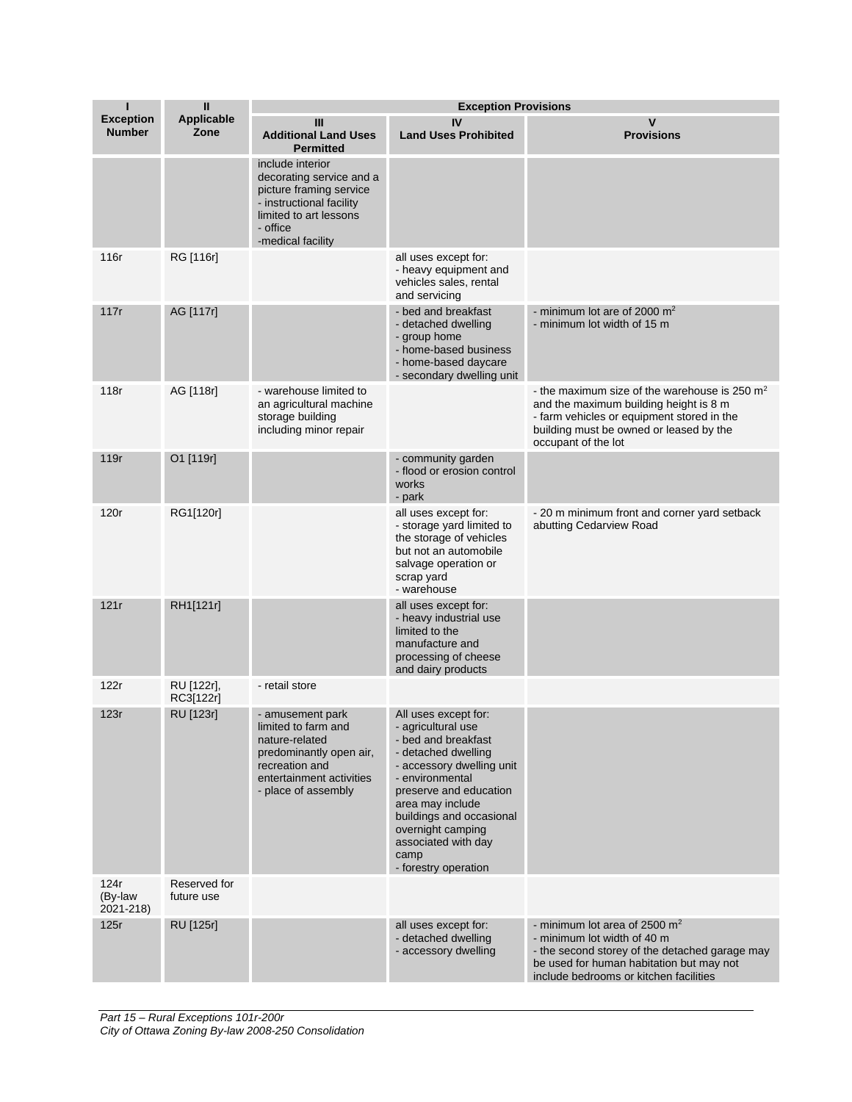| ı                                 | $\mathbf{I}$               | <b>Exception Provisions</b>                                                                                                                                    |                                                                                                                                                                                                                                                                                                |                                                                                                                                                                                                           |  |
|-----------------------------------|----------------------------|----------------------------------------------------------------------------------------------------------------------------------------------------------------|------------------------------------------------------------------------------------------------------------------------------------------------------------------------------------------------------------------------------------------------------------------------------------------------|-----------------------------------------------------------------------------------------------------------------------------------------------------------------------------------------------------------|--|
| <b>Exception</b><br><b>Number</b> | <b>Applicable</b><br>Zone  | III<br><b>Additional Land Uses</b><br><b>Permitted</b>                                                                                                         | IV<br><b>Land Uses Prohibited</b>                                                                                                                                                                                                                                                              | v<br><b>Provisions</b>                                                                                                                                                                                    |  |
|                                   |                            | include interior<br>decorating service and a<br>picture framing service<br>- instructional facility<br>limited to art lessons<br>- office<br>-medical facility |                                                                                                                                                                                                                                                                                                |                                                                                                                                                                                                           |  |
| 116r                              | RG [116r]                  |                                                                                                                                                                | all uses except for:<br>- heavy equipment and<br>vehicles sales, rental<br>and servicing                                                                                                                                                                                                       |                                                                                                                                                                                                           |  |
| 117r                              | AG [117r]                  |                                                                                                                                                                | - bed and breakfast<br>- detached dwelling<br>- group home<br>- home-based business<br>- home-based daycare<br>- secondary dwelling unit                                                                                                                                                       | - minimum lot are of 2000 $m2$<br>- minimum lot width of 15 m                                                                                                                                             |  |
| 118r                              | AG [118r]                  | - warehouse limited to<br>an agricultural machine<br>storage building<br>including minor repair                                                                |                                                                                                                                                                                                                                                                                                | - the maximum size of the warehouse is 250 $m2$<br>and the maximum building height is 8 m<br>- farm vehicles or equipment stored in the<br>building must be owned or leased by the<br>occupant of the lot |  |
| 119r                              | O1 [119r]                  |                                                                                                                                                                | - community garden<br>- flood or erosion control<br>works<br>- park                                                                                                                                                                                                                            |                                                                                                                                                                                                           |  |
| 120r                              | RG1[120r]                  |                                                                                                                                                                | all uses except for:<br>- storage yard limited to<br>the storage of vehicles<br>but not an automobile<br>salvage operation or<br>scrap yard<br>- warehouse                                                                                                                                     | - 20 m minimum front and corner yard setback<br>abutting Cedarview Road                                                                                                                                   |  |
| 121r                              | RH1[121r]                  |                                                                                                                                                                | all uses except for:<br>- heavy industrial use<br>limited to the<br>manufacture and<br>processing of cheese<br>and dairy products                                                                                                                                                              |                                                                                                                                                                                                           |  |
| 122r                              | RU [122r],<br>RC3[122r]    | - retail store                                                                                                                                                 |                                                                                                                                                                                                                                                                                                |                                                                                                                                                                                                           |  |
| 123r                              | RU [123r]                  | - amusement park<br>limited to farm and<br>nature-related<br>predominantly open air,<br>recreation and<br>entertainment activities<br>- place of assembly      | All uses except for:<br>- agricultural use<br>- bed and breakfast<br>- detached dwelling<br>- accessory dwelling unit<br>- environmental<br>preserve and education<br>area may include<br>buildings and occasional<br>overnight camping<br>associated with day<br>camp<br>- forestry operation |                                                                                                                                                                                                           |  |
| 124r<br>(By-law<br>2021-218)      | Reserved for<br>future use |                                                                                                                                                                |                                                                                                                                                                                                                                                                                                |                                                                                                                                                                                                           |  |
| 125r                              | RU [125r]                  |                                                                                                                                                                | all uses except for:<br>- detached dwelling<br>- accessory dwelling                                                                                                                                                                                                                            | - minimum lot area of 2500 $m2$<br>- minimum lot width of 40 m<br>- the second storey of the detached garage may<br>be used for human habitation but may not<br>include bedrooms or kitchen facilities    |  |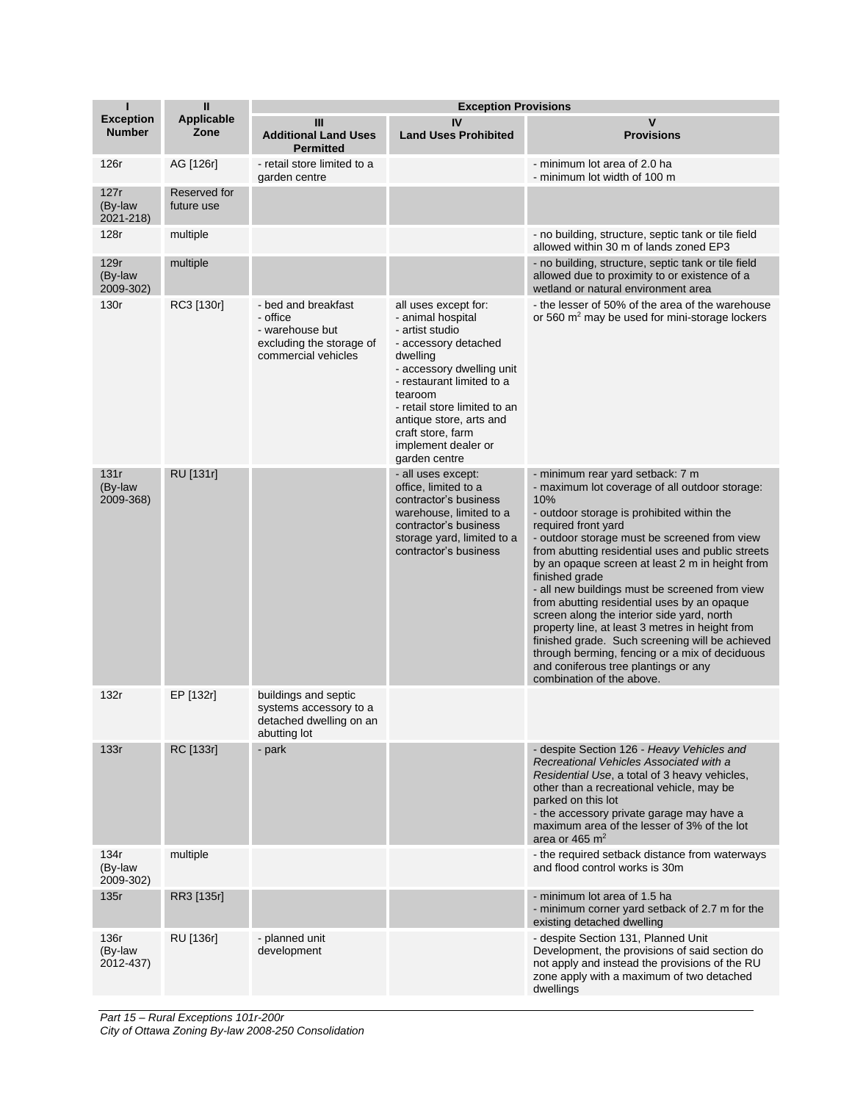| ı                                 | $\mathbf{I}$               |                                                                                                       | <b>Exception Provisions</b>                                                                                                                                                                                                                                                                   |                                                                                                                                                                                                                                                                                                                                                                                                                                                                                                                                                                                                                                                                                                                      |
|-----------------------------------|----------------------------|-------------------------------------------------------------------------------------------------------|-----------------------------------------------------------------------------------------------------------------------------------------------------------------------------------------------------------------------------------------------------------------------------------------------|----------------------------------------------------------------------------------------------------------------------------------------------------------------------------------------------------------------------------------------------------------------------------------------------------------------------------------------------------------------------------------------------------------------------------------------------------------------------------------------------------------------------------------------------------------------------------------------------------------------------------------------------------------------------------------------------------------------------|
| <b>Exception</b><br><b>Number</b> | <b>Applicable</b><br>Zone  | III<br><b>Additional Land Uses</b><br><b>Permitted</b>                                                | IV<br><b>Land Uses Prohibited</b>                                                                                                                                                                                                                                                             | $\mathsf{v}$<br><b>Provisions</b>                                                                                                                                                                                                                                                                                                                                                                                                                                                                                                                                                                                                                                                                                    |
| 126r                              | AG [126r]                  | - retail store limited to a<br>garden centre                                                          |                                                                                                                                                                                                                                                                                               | - minimum lot area of 2.0 ha<br>- minimum lot width of 100 m                                                                                                                                                                                                                                                                                                                                                                                                                                                                                                                                                                                                                                                         |
| 127r<br>(By-law<br>2021-218)      | Reserved for<br>future use |                                                                                                       |                                                                                                                                                                                                                                                                                               |                                                                                                                                                                                                                                                                                                                                                                                                                                                                                                                                                                                                                                                                                                                      |
| 128r                              | multiple                   |                                                                                                       |                                                                                                                                                                                                                                                                                               | - no building, structure, septic tank or tile field<br>allowed within 30 m of lands zoned EP3                                                                                                                                                                                                                                                                                                                                                                                                                                                                                                                                                                                                                        |
| 129r<br>(By-law<br>2009-302)      | multiple                   |                                                                                                       |                                                                                                                                                                                                                                                                                               | - no building, structure, septic tank or tile field<br>allowed due to proximity to or existence of a<br>wetland or natural environment area                                                                                                                                                                                                                                                                                                                                                                                                                                                                                                                                                                          |
| 130r                              | RC3 [130r]                 | - bed and breakfast<br>- office<br>- warehouse but<br>excluding the storage of<br>commercial vehicles | all uses except for:<br>- animal hospital<br>- artist studio<br>- accessory detached<br>dwelling<br>- accessory dwelling unit<br>- restaurant limited to a<br>tearoom<br>- retail store limited to an<br>antique store, arts and<br>craft store, farm<br>implement dealer or<br>garden centre | - the lesser of 50% of the area of the warehouse<br>or 560 m <sup>2</sup> may be used for mini-storage lockers                                                                                                                                                                                                                                                                                                                                                                                                                                                                                                                                                                                                       |
| 131r<br>(By-law<br>2009-368)      | RU [131r]                  |                                                                                                       | - all uses except:<br>office, limited to a<br>contractor's business<br>warehouse, limited to a<br>contractor's business<br>storage yard, limited to a<br>contractor's business                                                                                                                | - minimum rear yard setback: 7 m<br>- maximum lot coverage of all outdoor storage:<br>10%<br>- outdoor storage is prohibited within the<br>required front yard<br>- outdoor storage must be screened from view<br>from abutting residential uses and public streets<br>by an opaque screen at least 2 m in height from<br>finished grade<br>- all new buildings must be screened from view<br>from abutting residential uses by an opaque<br>screen along the interior side yard, north<br>property line, at least 3 metres in height from<br>finished grade. Such screening will be achieved<br>through berming, fencing or a mix of deciduous<br>and coniferous tree plantings or any<br>combination of the above. |
| 132r                              | EP [132r]                  | buildings and septic<br>systems accessory to a<br>detached dwelling on an<br>abutting lot             |                                                                                                                                                                                                                                                                                               |                                                                                                                                                                                                                                                                                                                                                                                                                                                                                                                                                                                                                                                                                                                      |
| 133r                              | RC [133r]                  | - park                                                                                                |                                                                                                                                                                                                                                                                                               | - despite Section 126 - Heavy Vehicles and<br>Recreational Vehicles Associated with a<br>Residential Use, a total of 3 heavy vehicles,<br>other than a recreational vehicle, may be<br>parked on this lot<br>- the accessory private garage may have a<br>maximum area of the lesser of 3% of the lot<br>area or 465 $m2$                                                                                                                                                                                                                                                                                                                                                                                            |
| 134r<br>(By-law<br>2009-302)      | multiple                   |                                                                                                       |                                                                                                                                                                                                                                                                                               | - the required setback distance from waterways<br>and flood control works is 30m                                                                                                                                                                                                                                                                                                                                                                                                                                                                                                                                                                                                                                     |
| 135r                              | RR3 [135r]                 |                                                                                                       |                                                                                                                                                                                                                                                                                               | - minimum lot area of 1.5 ha<br>- minimum corner yard setback of 2.7 m for the<br>existing detached dwelling                                                                                                                                                                                                                                                                                                                                                                                                                                                                                                                                                                                                         |
| 136r<br>(By-law<br>2012-437)      | RU [136r]                  | - planned unit<br>development                                                                         |                                                                                                                                                                                                                                                                                               | - despite Section 131, Planned Unit<br>Development, the provisions of said section do<br>not apply and instead the provisions of the RU<br>zone apply with a maximum of two detached<br>dwellings                                                                                                                                                                                                                                                                                                                                                                                                                                                                                                                    |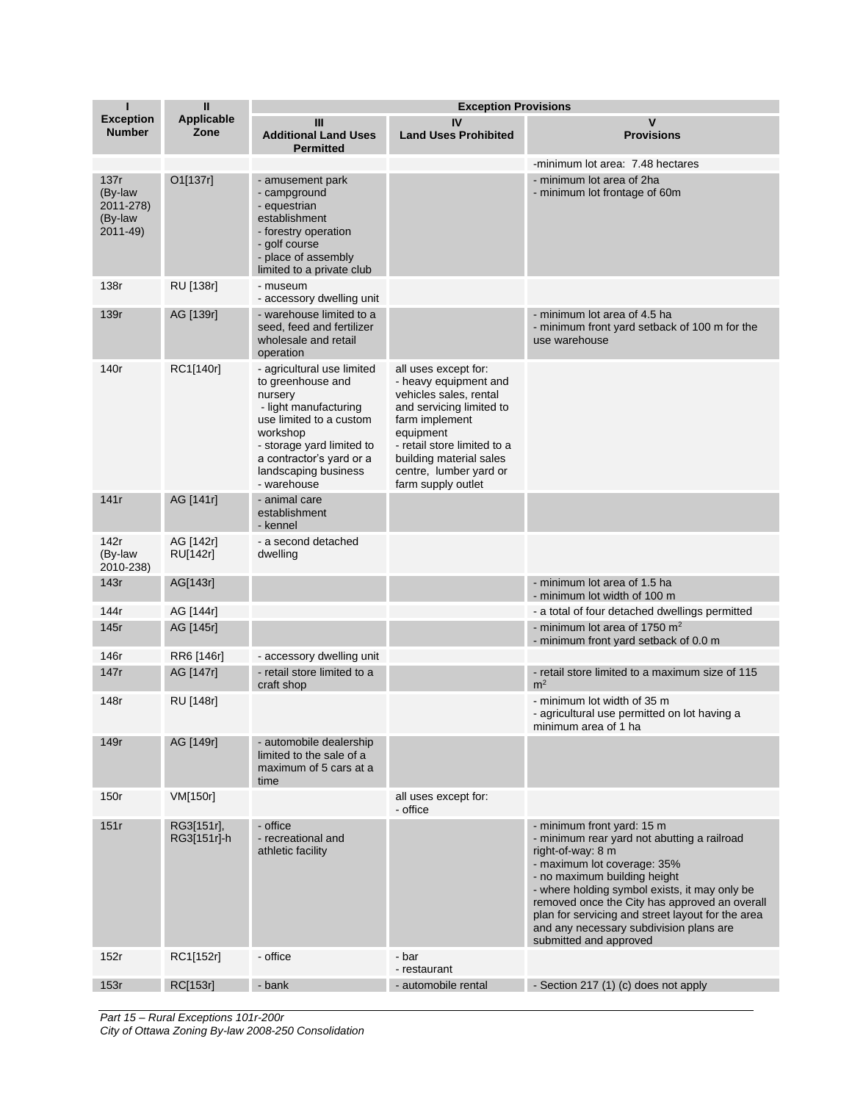| Т                                                   | $\mathbf{I}$              | <b>Exception Provisions</b>                                                                                                                                                                                                |                                                                                                                                                                                                                                              |                                                                                                                                                                                                                                                                                                                                                                                           |  |
|-----------------------------------------------------|---------------------------|----------------------------------------------------------------------------------------------------------------------------------------------------------------------------------------------------------------------------|----------------------------------------------------------------------------------------------------------------------------------------------------------------------------------------------------------------------------------------------|-------------------------------------------------------------------------------------------------------------------------------------------------------------------------------------------------------------------------------------------------------------------------------------------------------------------------------------------------------------------------------------------|--|
| <b>Exception</b><br><b>Number</b>                   | <b>Applicable</b><br>Zone | Ш<br><b>Additional Land Uses</b><br><b>Permitted</b>                                                                                                                                                                       | IV<br><b>Land Uses Prohibited</b>                                                                                                                                                                                                            | V<br><b>Provisions</b>                                                                                                                                                                                                                                                                                                                                                                    |  |
| 137r<br>(By-law<br>2011-278)<br>(By-law<br>2011-49) | O1[137r]                  | - amusement park<br>- campground<br>- equestrian<br>establishment<br>- forestry operation<br>- golf course<br>- place of assembly<br>limited to a private club                                                             |                                                                                                                                                                                                                                              | -minimum lot area: 7.48 hectares<br>- minimum lot area of 2ha<br>- minimum lot frontage of 60m                                                                                                                                                                                                                                                                                            |  |
| 138r                                                | RU [138r]                 | - museum<br>- accessory dwelling unit                                                                                                                                                                                      |                                                                                                                                                                                                                                              |                                                                                                                                                                                                                                                                                                                                                                                           |  |
| 139r                                                | AG [139r]                 | - warehouse limited to a<br>seed, feed and fertilizer<br>wholesale and retail<br>operation                                                                                                                                 |                                                                                                                                                                                                                                              | - minimum lot area of 4.5 ha<br>- minimum front yard setback of 100 m for the<br>use warehouse                                                                                                                                                                                                                                                                                            |  |
| 140r                                                | RC1[140r]                 | - agricultural use limited<br>to greenhouse and<br>nursery<br>- light manufacturing<br>use limited to a custom<br>workshop<br>- storage yard limited to<br>a contractor's yard or a<br>landscaping business<br>- warehouse | all uses except for:<br>- heavy equipment and<br>vehicles sales, rental<br>and servicing limited to<br>farm implement<br>equipment<br>- retail store limited to a<br>building material sales<br>centre, lumber yard or<br>farm supply outlet |                                                                                                                                                                                                                                                                                                                                                                                           |  |
| 141r                                                | AG [141r]                 | - animal care<br>establishment<br>- kennel                                                                                                                                                                                 |                                                                                                                                                                                                                                              |                                                                                                                                                                                                                                                                                                                                                                                           |  |
| 142r<br>(By-law<br>2010-238)                        | AG [142r]<br>RU[142r]     | - a second detached<br>dwelling                                                                                                                                                                                            |                                                                                                                                                                                                                                              |                                                                                                                                                                                                                                                                                                                                                                                           |  |
| 143r                                                | AG[143r]                  |                                                                                                                                                                                                                            |                                                                                                                                                                                                                                              | - minimum lot area of 1.5 ha<br>- minimum lot width of 100 m                                                                                                                                                                                                                                                                                                                              |  |
| 144r                                                | AG [144r]                 |                                                                                                                                                                                                                            |                                                                                                                                                                                                                                              | - a total of four detached dwellings permitted                                                                                                                                                                                                                                                                                                                                            |  |
| 145r                                                | AG [145r]                 |                                                                                                                                                                                                                            |                                                                                                                                                                                                                                              | - minimum lot area of 1750 $m2$<br>- minimum front yard setback of 0.0 m                                                                                                                                                                                                                                                                                                                  |  |
| 146r                                                | RR6 [146r]                | - accessory dwelling unit                                                                                                                                                                                                  |                                                                                                                                                                                                                                              |                                                                                                                                                                                                                                                                                                                                                                                           |  |
| 147r                                                | AG [147r]                 | - retail store limited to a<br>craft shop                                                                                                                                                                                  |                                                                                                                                                                                                                                              | - retail store limited to a maximum size of 115<br>m <sup>2</sup>                                                                                                                                                                                                                                                                                                                         |  |
| 148r                                                | RU [148r]                 |                                                                                                                                                                                                                            |                                                                                                                                                                                                                                              | - minimum lot width of 35 m<br>- agricultural use permitted on lot having a<br>minimum area of 1 ha                                                                                                                                                                                                                                                                                       |  |
| 149r                                                | AG [149r]                 | - automobile dealership<br>limited to the sale of a<br>maximum of 5 cars at a<br>time                                                                                                                                      |                                                                                                                                                                                                                                              |                                                                                                                                                                                                                                                                                                                                                                                           |  |
| 150r                                                | VM[150r]                  |                                                                                                                                                                                                                            | all uses except for:<br>- office                                                                                                                                                                                                             |                                                                                                                                                                                                                                                                                                                                                                                           |  |
| 151r                                                | RG3[151r],<br>RG3[151r]-h | - office<br>- recreational and<br>athletic facility                                                                                                                                                                        |                                                                                                                                                                                                                                              | - minimum front yard: 15 m<br>- minimum rear yard not abutting a railroad<br>right-of-way: 8 m<br>- maximum lot coverage: 35%<br>- no maximum building height<br>- where holding symbol exists, it may only be<br>removed once the City has approved an overall<br>plan for servicing and street layout for the area<br>and any necessary subdivision plans are<br>submitted and approved |  |
| 152r                                                | RC1[152r]                 | - office                                                                                                                                                                                                                   | - bar<br>- restaurant                                                                                                                                                                                                                        |                                                                                                                                                                                                                                                                                                                                                                                           |  |
| 153r                                                | <b>RC[153r]</b>           | - bank                                                                                                                                                                                                                     | - automobile rental                                                                                                                                                                                                                          | - Section 217 (1) (c) does not apply                                                                                                                                                                                                                                                                                                                                                      |  |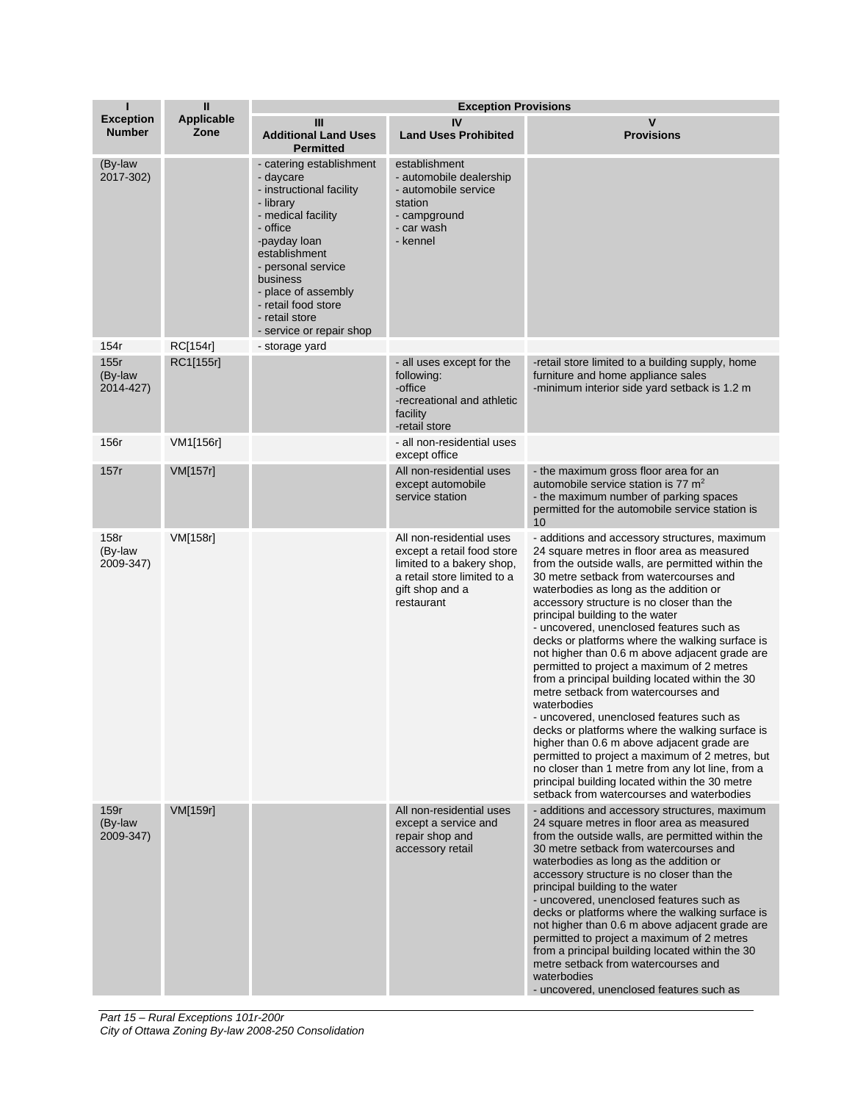| Т                                 | $\mathbf{I}$              | <b>Exception Provisions</b>                                                                                                                                                                                                                                                     |                                                                                                                                                     |                                                                                                                                                                                                                                                                                                                                                                                                                                                                                                                                                                                                                                                                                                                                                                                                                                                                                                                                                                                |  |
|-----------------------------------|---------------------------|---------------------------------------------------------------------------------------------------------------------------------------------------------------------------------------------------------------------------------------------------------------------------------|-----------------------------------------------------------------------------------------------------------------------------------------------------|--------------------------------------------------------------------------------------------------------------------------------------------------------------------------------------------------------------------------------------------------------------------------------------------------------------------------------------------------------------------------------------------------------------------------------------------------------------------------------------------------------------------------------------------------------------------------------------------------------------------------------------------------------------------------------------------------------------------------------------------------------------------------------------------------------------------------------------------------------------------------------------------------------------------------------------------------------------------------------|--|
| <b>Exception</b><br><b>Number</b> | <b>Applicable</b><br>Zone | III<br><b>Additional Land Uses</b><br><b>Permitted</b>                                                                                                                                                                                                                          | IV<br><b>Land Uses Prohibited</b>                                                                                                                   | $\mathsf{v}$<br><b>Provisions</b>                                                                                                                                                                                                                                                                                                                                                                                                                                                                                                                                                                                                                                                                                                                                                                                                                                                                                                                                              |  |
| (By-law<br>2017-302)              |                           | - catering establishment<br>- daycare<br>- instructional facility<br>- library<br>- medical facility<br>- office<br>-payday loan<br>establishment<br>- personal service<br>business<br>- place of assembly<br>- retail food store<br>- retail store<br>- service or repair shop | establishment<br>- automobile dealership<br>- automobile service<br>station<br>- campground<br>- car wash<br>- kennel                               |                                                                                                                                                                                                                                                                                                                                                                                                                                                                                                                                                                                                                                                                                                                                                                                                                                                                                                                                                                                |  |
| 154r                              | RC[154r]                  | - storage yard                                                                                                                                                                                                                                                                  |                                                                                                                                                     |                                                                                                                                                                                                                                                                                                                                                                                                                                                                                                                                                                                                                                                                                                                                                                                                                                                                                                                                                                                |  |
| 155r<br>(By-law<br>2014-427)      | RC1[155r]                 |                                                                                                                                                                                                                                                                                 | - all uses except for the<br>following:<br>-office<br>-recreational and athletic<br>facility<br>-retail store                                       | -retail store limited to a building supply, home<br>furniture and home appliance sales<br>-minimum interior side yard setback is 1.2 m                                                                                                                                                                                                                                                                                                                                                                                                                                                                                                                                                                                                                                                                                                                                                                                                                                         |  |
| 156r                              | VM1[156r]                 |                                                                                                                                                                                                                                                                                 | - all non-residential uses<br>except office                                                                                                         |                                                                                                                                                                                                                                                                                                                                                                                                                                                                                                                                                                                                                                                                                                                                                                                                                                                                                                                                                                                |  |
| 157r                              | VM[157r]                  |                                                                                                                                                                                                                                                                                 | All non-residential uses<br>except automobile<br>service station                                                                                    | - the maximum gross floor area for an<br>automobile service station is 77 m <sup>2</sup><br>- the maximum number of parking spaces<br>permitted for the automobile service station is<br>10                                                                                                                                                                                                                                                                                                                                                                                                                                                                                                                                                                                                                                                                                                                                                                                    |  |
| 158r<br>(By-law<br>2009-347)      | VM[158r]                  |                                                                                                                                                                                                                                                                                 | All non-residential uses<br>except a retail food store<br>limited to a bakery shop,<br>a retail store limited to a<br>gift shop and a<br>restaurant | - additions and accessory structures, maximum<br>24 square metres in floor area as measured<br>from the outside walls, are permitted within the<br>30 metre setback from watercourses and<br>waterbodies as long as the addition or<br>accessory structure is no closer than the<br>principal building to the water<br>- uncovered, unenclosed features such as<br>decks or platforms where the walking surface is<br>not higher than 0.6 m above adjacent grade are<br>permitted to project a maximum of 2 metres<br>from a principal building located within the 30<br>metre setback from watercourses and<br>waterbodies<br>- uncovered, unenclosed features such as<br>decks or platforms where the walking surface is<br>higher than 0.6 m above adjacent grade are<br>permitted to project a maximum of 2 metres, but<br>no closer than 1 metre from any lot line, from a<br>principal building located within the 30 metre<br>setback from watercourses and waterbodies |  |
| 159r<br>(By-law<br>2009-347)      | VM[159r]                  |                                                                                                                                                                                                                                                                                 | All non-residential uses<br>except a service and<br>repair shop and<br>accessory retail                                                             | - additions and accessory structures, maximum<br>24 square metres in floor area as measured<br>from the outside walls, are permitted within the<br>30 metre setback from watercourses and<br>waterbodies as long as the addition or<br>accessory structure is no closer than the<br>principal building to the water<br>- uncovered, unenclosed features such as<br>decks or platforms where the walking surface is<br>not higher than 0.6 m above adjacent grade are<br>permitted to project a maximum of 2 metres<br>from a principal building located within the 30<br>metre setback from watercourses and<br>waterbodies<br>- uncovered, unenclosed features such as                                                                                                                                                                                                                                                                                                        |  |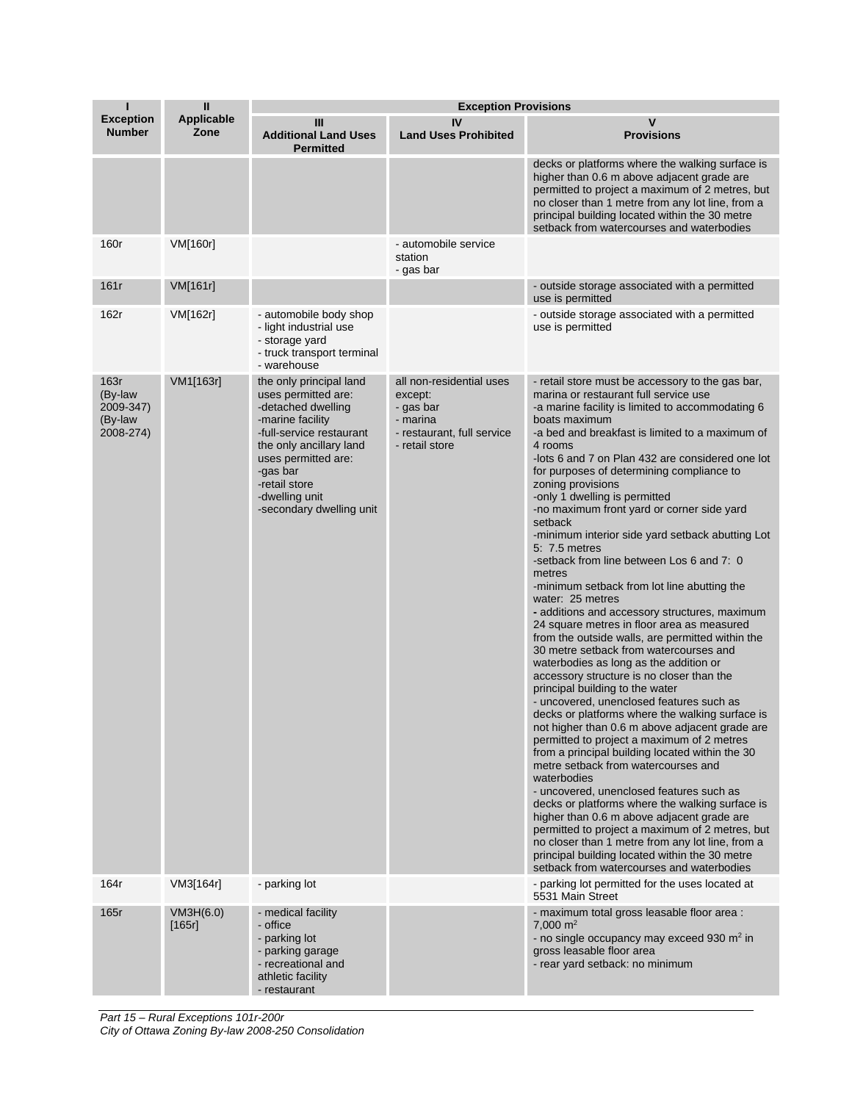| п                                                    | $\mathbf{I}$              | <b>Exception Provisions</b>                                                                                                                                                                                                                       |                                                                                                              |                                                                                                                                                                                                                                                                                                                                                                                                                                                                                                                                                                                                                                                                                                                                                                                                                                                                                                                                                                                                                                                                                                                                                                                                                                                                                                                                                                                                                                                                                                                                                                                                                               |  |
|------------------------------------------------------|---------------------------|---------------------------------------------------------------------------------------------------------------------------------------------------------------------------------------------------------------------------------------------------|--------------------------------------------------------------------------------------------------------------|-------------------------------------------------------------------------------------------------------------------------------------------------------------------------------------------------------------------------------------------------------------------------------------------------------------------------------------------------------------------------------------------------------------------------------------------------------------------------------------------------------------------------------------------------------------------------------------------------------------------------------------------------------------------------------------------------------------------------------------------------------------------------------------------------------------------------------------------------------------------------------------------------------------------------------------------------------------------------------------------------------------------------------------------------------------------------------------------------------------------------------------------------------------------------------------------------------------------------------------------------------------------------------------------------------------------------------------------------------------------------------------------------------------------------------------------------------------------------------------------------------------------------------------------------------------------------------------------------------------------------------|--|
| <b>Exception</b><br><b>Number</b>                    | <b>Applicable</b><br>Zone | Ш<br><b>Additional Land Uses</b><br><b>Permitted</b>                                                                                                                                                                                              | IV<br><b>Land Uses Prohibited</b>                                                                            | v<br><b>Provisions</b>                                                                                                                                                                                                                                                                                                                                                                                                                                                                                                                                                                                                                                                                                                                                                                                                                                                                                                                                                                                                                                                                                                                                                                                                                                                                                                                                                                                                                                                                                                                                                                                                        |  |
|                                                      |                           |                                                                                                                                                                                                                                                   |                                                                                                              | decks or platforms where the walking surface is<br>higher than 0.6 m above adjacent grade are<br>permitted to project a maximum of 2 metres, but<br>no closer than 1 metre from any lot line, from a<br>principal building located within the 30 metre<br>setback from watercourses and waterbodies                                                                                                                                                                                                                                                                                                                                                                                                                                                                                                                                                                                                                                                                                                                                                                                                                                                                                                                                                                                                                                                                                                                                                                                                                                                                                                                           |  |
| 160r                                                 | VM[160r]                  |                                                                                                                                                                                                                                                   | - automobile service<br>station<br>- gas bar                                                                 |                                                                                                                                                                                                                                                                                                                                                                                                                                                                                                                                                                                                                                                                                                                                                                                                                                                                                                                                                                                                                                                                                                                                                                                                                                                                                                                                                                                                                                                                                                                                                                                                                               |  |
| 161r                                                 | VM[161r]                  |                                                                                                                                                                                                                                                   |                                                                                                              | - outside storage associated with a permitted<br>use is permitted                                                                                                                                                                                                                                                                                                                                                                                                                                                                                                                                                                                                                                                                                                                                                                                                                                                                                                                                                                                                                                                                                                                                                                                                                                                                                                                                                                                                                                                                                                                                                             |  |
| 162r                                                 | VM[162r]                  | - automobile body shop<br>- light industrial use<br>- storage yard<br>- truck transport terminal<br>- warehouse                                                                                                                                   |                                                                                                              | - outside storage associated with a permitted<br>use is permitted                                                                                                                                                                                                                                                                                                                                                                                                                                                                                                                                                                                                                                                                                                                                                                                                                                                                                                                                                                                                                                                                                                                                                                                                                                                                                                                                                                                                                                                                                                                                                             |  |
| 163r<br>(By-law<br>2009-347)<br>(By-law<br>2008-274) | VM1[163r]                 | the only principal land<br>uses permitted are:<br>-detached dwelling<br>-marine facility<br>-full-service restaurant<br>the only ancillary land<br>uses permitted are:<br>-gas bar<br>-retail store<br>-dwelling unit<br>-secondary dwelling unit | all non-residential uses<br>except:<br>- gas bar<br>- marina<br>- restaurant, full service<br>- retail store | - retail store must be accessory to the gas bar,<br>marina or restaurant full service use<br>-a marine facility is limited to accommodating 6<br>boats maximum<br>-a bed and breakfast is limited to a maximum of<br>4 rooms<br>-lots 6 and 7 on Plan 432 are considered one lot<br>for purposes of determining compliance to<br>zoning provisions<br>-only 1 dwelling is permitted<br>-no maximum front yard or corner side yard<br>setback<br>-minimum interior side yard setback abutting Lot<br>5: 7.5 metres<br>-setback from line between Los 6 and 7: 0<br>metres<br>-minimum setback from lot line abutting the<br>water: 25 metres<br>- additions and accessory structures, maximum<br>24 square metres in floor area as measured<br>from the outside walls, are permitted within the<br>30 metre setback from watercourses and<br>waterbodies as long as the addition or<br>accessory structure is no closer than the<br>principal building to the water<br>- uncovered, unenclosed features such as<br>decks or platforms where the walking surface is<br>not higher than 0.6 m above adjacent grade are<br>permitted to project a maximum of 2 metres<br>from a principal building located within the 30<br>metre setback from watercourses and<br>waterbodies<br>- uncovered, unenclosed features such as<br>decks or platforms where the walking surface is<br>higher than 0.6 m above adjacent grade are<br>permitted to project a maximum of 2 metres, but<br>no closer than 1 metre from any lot line, from a<br>principal building located within the 30 metre<br>setback from watercourses and waterbodies |  |
| 164r                                                 | VM3[164r]                 | - parking lot                                                                                                                                                                                                                                     |                                                                                                              | - parking lot permitted for the uses located at<br>5531 Main Street                                                                                                                                                                                                                                                                                                                                                                                                                                                                                                                                                                                                                                                                                                                                                                                                                                                                                                                                                                                                                                                                                                                                                                                                                                                                                                                                                                                                                                                                                                                                                           |  |
| 165r                                                 | VM3H(6.0)<br>[165r]       | - medical facility<br>- office<br>- parking lot<br>- parking garage<br>- recreational and<br>athletic facility<br>- restaurant                                                                                                                    |                                                                                                              | - maximum total gross leasable floor area :<br>7,000 $m2$<br>- no single occupancy may exceed 930 m <sup>2</sup> in<br>gross leasable floor area<br>- rear yard setback: no minimum                                                                                                                                                                                                                                                                                                                                                                                                                                                                                                                                                                                                                                                                                                                                                                                                                                                                                                                                                                                                                                                                                                                                                                                                                                                                                                                                                                                                                                           |  |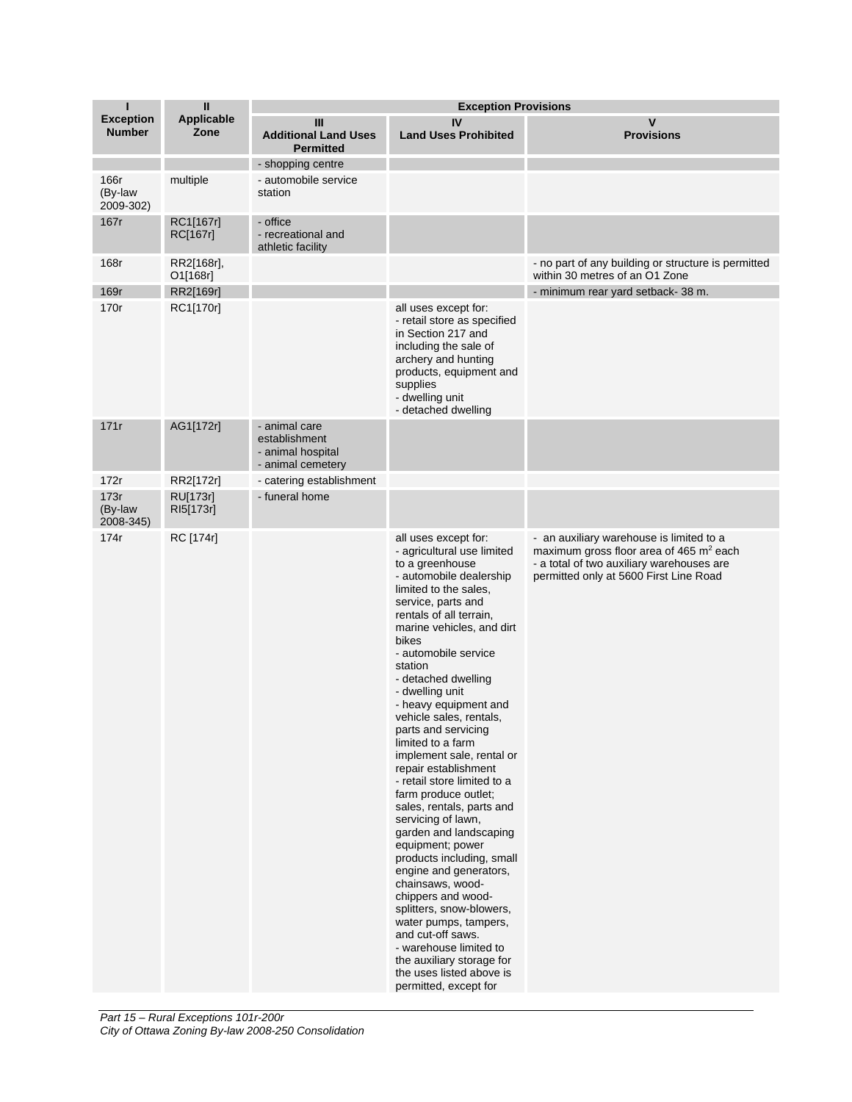| ı                                 | $\mathbf{I}$                 | <b>Exception Provisions</b>                                              |                                                                                                                                                                                                                                                                                                                                                                                                                                                                                                                                                                                                                                                                                                                                                                                                                                                                                                   |                                                                                                                                                                                        |  |
|-----------------------------------|------------------------------|--------------------------------------------------------------------------|---------------------------------------------------------------------------------------------------------------------------------------------------------------------------------------------------------------------------------------------------------------------------------------------------------------------------------------------------------------------------------------------------------------------------------------------------------------------------------------------------------------------------------------------------------------------------------------------------------------------------------------------------------------------------------------------------------------------------------------------------------------------------------------------------------------------------------------------------------------------------------------------------|----------------------------------------------------------------------------------------------------------------------------------------------------------------------------------------|--|
| <b>Exception</b><br><b>Number</b> | Applicable<br>Zone           | Ш<br><b>Additional Land Uses</b><br><b>Permitted</b>                     | IV<br><b>Land Uses Prohibited</b>                                                                                                                                                                                                                                                                                                                                                                                                                                                                                                                                                                                                                                                                                                                                                                                                                                                                 | V<br><b>Provisions</b>                                                                                                                                                                 |  |
|                                   |                              | - shopping centre                                                        |                                                                                                                                                                                                                                                                                                                                                                                                                                                                                                                                                                                                                                                                                                                                                                                                                                                                                                   |                                                                                                                                                                                        |  |
| 166r<br>(By-law<br>2009-302)      | multiple                     | - automobile service<br>station                                          |                                                                                                                                                                                                                                                                                                                                                                                                                                                                                                                                                                                                                                                                                                                                                                                                                                                                                                   |                                                                                                                                                                                        |  |
| 167r                              | RC1[167r]<br>RC[167r]        | - office<br>- recreational and<br>athletic facility                      |                                                                                                                                                                                                                                                                                                                                                                                                                                                                                                                                                                                                                                                                                                                                                                                                                                                                                                   |                                                                                                                                                                                        |  |
| 168r                              | RR2[168r],<br>O1[168r]       |                                                                          |                                                                                                                                                                                                                                                                                                                                                                                                                                                                                                                                                                                                                                                                                                                                                                                                                                                                                                   | - no part of any building or structure is permitted<br>within 30 metres of an O1 Zone                                                                                                  |  |
| 169r                              | RR2[169r]                    |                                                                          |                                                                                                                                                                                                                                                                                                                                                                                                                                                                                                                                                                                                                                                                                                                                                                                                                                                                                                   | - minimum rear yard setback-38 m.                                                                                                                                                      |  |
| 170r                              | RC1[170r]                    |                                                                          | all uses except for:<br>- retail store as specified<br>in Section 217 and<br>including the sale of<br>archery and hunting<br>products, equipment and<br>supplies<br>- dwelling unit<br>- detached dwelling                                                                                                                                                                                                                                                                                                                                                                                                                                                                                                                                                                                                                                                                                        |                                                                                                                                                                                        |  |
| 171r                              | AG1[172r]                    | - animal care<br>establishment<br>- animal hospital<br>- animal cemetery |                                                                                                                                                                                                                                                                                                                                                                                                                                                                                                                                                                                                                                                                                                                                                                                                                                                                                                   |                                                                                                                                                                                        |  |
| 172r                              | RR2[172r]                    | - catering establishment                                                 |                                                                                                                                                                                                                                                                                                                                                                                                                                                                                                                                                                                                                                                                                                                                                                                                                                                                                                   |                                                                                                                                                                                        |  |
| 173r<br>(By-law<br>2008-345)      | <b>RU[173r]</b><br>RI5[173r] | - funeral home                                                           |                                                                                                                                                                                                                                                                                                                                                                                                                                                                                                                                                                                                                                                                                                                                                                                                                                                                                                   |                                                                                                                                                                                        |  |
| 174r                              | RC [174r]                    |                                                                          | all uses except for:<br>- agricultural use limited<br>to a greenhouse<br>- automobile dealership<br>limited to the sales,<br>service, parts and<br>rentals of all terrain,<br>marine vehicles, and dirt<br>bikes<br>- automobile service<br>station<br>- detached dwelling<br>- dwelling unit<br>- heavy equipment and<br>vehicle sales, rentals,<br>parts and servicing<br>limited to a farm<br>implement sale, rental or<br>repair establishment<br>- retail store limited to a<br>farm produce outlet;<br>sales, rentals, parts and<br>servicing of lawn,<br>garden and landscaping<br>equipment; power<br>products including, small<br>engine and generators,<br>chainsaws, wood-<br>chippers and wood-<br>splitters, snow-blowers,<br>water pumps, tampers,<br>and cut-off saws.<br>- warehouse limited to<br>the auxiliary storage for<br>the uses listed above is<br>permitted, except for | - an auxiliary warehouse is limited to a<br>maximum gross floor area of 465 m <sup>2</sup> each<br>- a total of two auxiliary warehouses are<br>permitted only at 5600 First Line Road |  |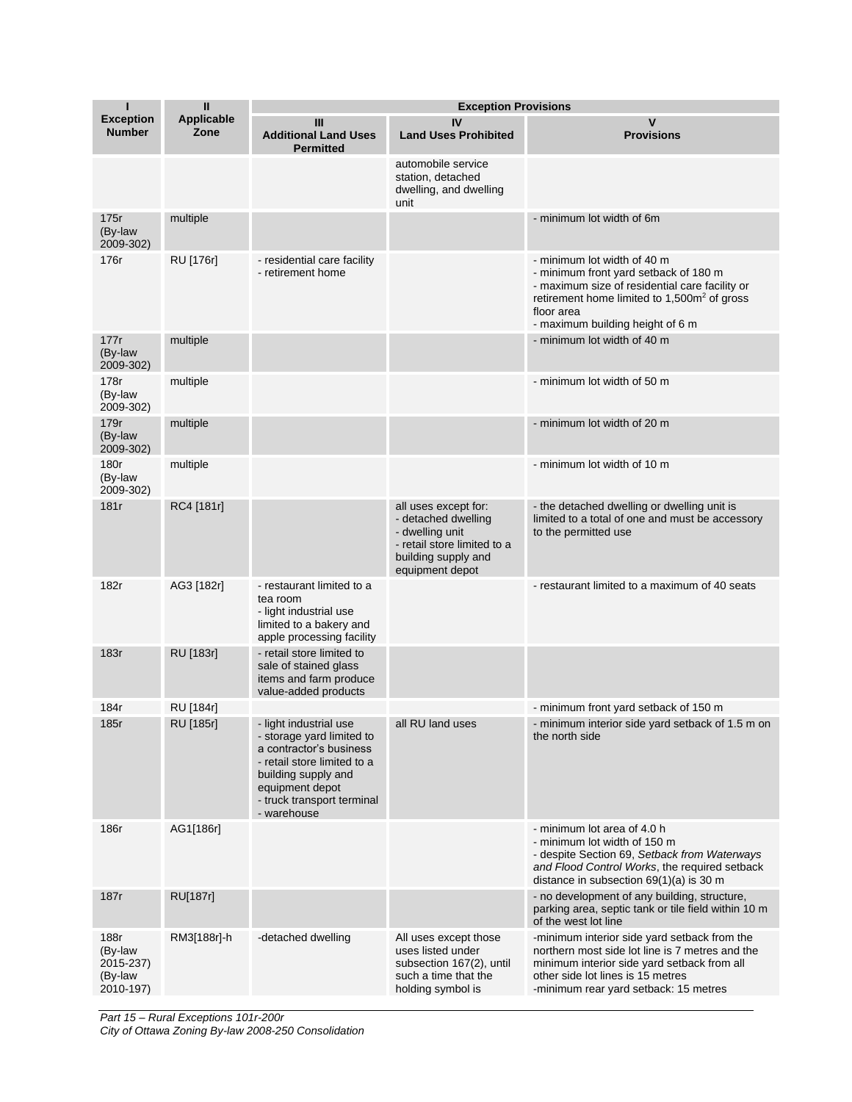| ī                                                    | $\mathbf{I}$              | <b>Exception Provisions</b>                                                                                                                                                                          |                                                                                                                                         |                                                                                                                                                                                                                                     |  |
|------------------------------------------------------|---------------------------|------------------------------------------------------------------------------------------------------------------------------------------------------------------------------------------------------|-----------------------------------------------------------------------------------------------------------------------------------------|-------------------------------------------------------------------------------------------------------------------------------------------------------------------------------------------------------------------------------------|--|
| <b>Exception</b><br><b>Number</b>                    | <b>Applicable</b><br>Zone | Ш<br><b>Additional Land Uses</b><br><b>Permitted</b>                                                                                                                                                 | IV<br><b>Land Uses Prohibited</b>                                                                                                       | V<br><b>Provisions</b>                                                                                                                                                                                                              |  |
|                                                      |                           |                                                                                                                                                                                                      | automobile service<br>station, detached<br>dwelling, and dwelling<br>unit                                                               |                                                                                                                                                                                                                                     |  |
| 175r<br>(By-law<br>2009-302)                         | multiple                  |                                                                                                                                                                                                      |                                                                                                                                         | - minimum lot width of 6m                                                                                                                                                                                                           |  |
| 176r                                                 | RU [176r]                 | - residential care facility<br>- retirement home                                                                                                                                                     |                                                                                                                                         | - minimum lot width of 40 m<br>- minimum front yard setback of 180 m<br>- maximum size of residential care facility or<br>retirement home limited to 1,500m <sup>2</sup> of gross<br>floor area<br>- maximum building height of 6 m |  |
| 177r<br>(By-law<br>2009-302)                         | multiple                  |                                                                                                                                                                                                      |                                                                                                                                         | - minimum lot width of 40 m                                                                                                                                                                                                         |  |
| 178r<br>(By-law<br>2009-302)                         | multiple                  |                                                                                                                                                                                                      |                                                                                                                                         | - minimum lot width of 50 m                                                                                                                                                                                                         |  |
| 179r<br>(By-law<br>2009-302)                         | multiple                  |                                                                                                                                                                                                      |                                                                                                                                         | - minimum lot width of 20 m                                                                                                                                                                                                         |  |
| 180r<br>(By-law<br>2009-302)                         | multiple                  |                                                                                                                                                                                                      |                                                                                                                                         | - minimum lot width of 10 m                                                                                                                                                                                                         |  |
| 181r                                                 | RC4 [181r]                |                                                                                                                                                                                                      | all uses except for:<br>- detached dwelling<br>- dwelling unit<br>- retail store limited to a<br>building supply and<br>equipment depot | - the detached dwelling or dwelling unit is<br>limited to a total of one and must be accessory<br>to the permitted use                                                                                                              |  |
| 182r                                                 | AG3 [182r]                | - restaurant limited to a<br>tea room<br>- light industrial use<br>limited to a bakery and<br>apple processing facility                                                                              |                                                                                                                                         | - restaurant limited to a maximum of 40 seats                                                                                                                                                                                       |  |
| 183r                                                 | RU [183r]                 | - retail store limited to<br>sale of stained glass<br>items and farm produce<br>value-added products                                                                                                 |                                                                                                                                         |                                                                                                                                                                                                                                     |  |
| 184r                                                 | RU [184r]                 |                                                                                                                                                                                                      |                                                                                                                                         | - minimum front yard setback of 150 m                                                                                                                                                                                               |  |
| 185r                                                 | RU [185r]                 | - light industrial use<br>- storage yard limited to<br>a contractor's business<br>- retail store limited to a<br>building supply and<br>equipment depot<br>- truck transport terminal<br>- warehouse | all RU land uses                                                                                                                        | - minimum interior side yard setback of 1.5 m on<br>the north side                                                                                                                                                                  |  |
| 186r                                                 | AG1[186r]                 |                                                                                                                                                                                                      |                                                                                                                                         | - minimum lot area of 4.0 h<br>- minimum lot width of 150 m<br>- despite Section 69, Setback from Waterways<br>and Flood Control Works, the required setback<br>distance in subsection 69(1)(a) is 30 m                             |  |
| 187r                                                 | <b>RU[187r]</b>           |                                                                                                                                                                                                      |                                                                                                                                         | - no development of any building, structure,<br>parking area, septic tank or tile field within 10 m<br>of the west lot line                                                                                                         |  |
| 188r<br>(By-law<br>2015-237)<br>(By-law<br>2010-197) | RM3[188r]-h               | -detached dwelling                                                                                                                                                                                   | All uses except those<br>uses listed under<br>subsection 167(2), until<br>such a time that the<br>holding symbol is                     | -minimum interior side yard setback from the<br>northern most side lot line is 7 metres and the<br>minimum interior side yard setback from all<br>other side lot lines is 15 metres<br>-minimum rear yard setback: 15 metres        |  |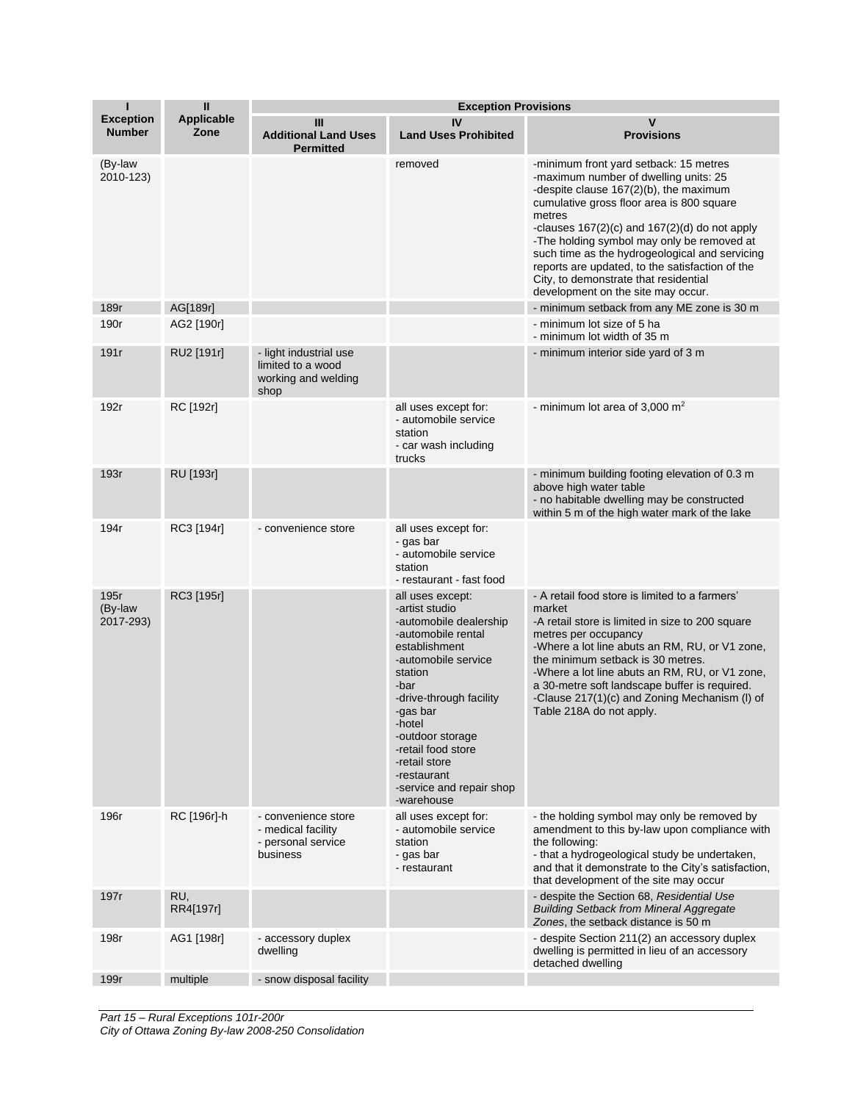| ı                                 | $\mathbf{I}$              | <b>Exception Provisions</b>                                                 |                                                                                                                                                                                                                                                                                                                    |                                                                                                                                                                                                                                                                                                                                                                                                                                                                         |  |
|-----------------------------------|---------------------------|-----------------------------------------------------------------------------|--------------------------------------------------------------------------------------------------------------------------------------------------------------------------------------------------------------------------------------------------------------------------------------------------------------------|-------------------------------------------------------------------------------------------------------------------------------------------------------------------------------------------------------------------------------------------------------------------------------------------------------------------------------------------------------------------------------------------------------------------------------------------------------------------------|--|
| <b>Exception</b><br><b>Number</b> | <b>Applicable</b><br>Zone | Ш<br><b>Additional Land Uses</b><br><b>Permitted</b>                        | IV<br><b>Land Uses Prohibited</b>                                                                                                                                                                                                                                                                                  | v<br><b>Provisions</b>                                                                                                                                                                                                                                                                                                                                                                                                                                                  |  |
| (By-law<br>2010-123)              |                           |                                                                             | removed                                                                                                                                                                                                                                                                                                            | -minimum front yard setback: 15 metres<br>-maximum number of dwelling units: 25<br>-despite clause 167(2)(b), the maximum<br>cumulative gross floor area is 800 square<br>metres<br>-clauses $167(2)(c)$ and $167(2)(d)$ do not apply<br>-The holding symbol may only be removed at<br>such time as the hydrogeological and servicing<br>reports are updated, to the satisfaction of the<br>City, to demonstrate that residential<br>development on the site may occur. |  |
| 189r                              | AG[189r]                  |                                                                             |                                                                                                                                                                                                                                                                                                                    | - minimum setback from any ME zone is 30 m                                                                                                                                                                                                                                                                                                                                                                                                                              |  |
| 190r                              | AG2 [190r]                |                                                                             |                                                                                                                                                                                                                                                                                                                    | - minimum lot size of 5 ha<br>- minimum lot width of 35 m                                                                                                                                                                                                                                                                                                                                                                                                               |  |
| 191r                              | RU2 [191r]                | - light industrial use<br>limited to a wood<br>working and welding<br>shop  |                                                                                                                                                                                                                                                                                                                    | - minimum interior side yard of 3 m                                                                                                                                                                                                                                                                                                                                                                                                                                     |  |
| 192r                              | RC [192r]                 |                                                                             | all uses except for:<br>- automobile service<br>station<br>- car wash including<br>trucks                                                                                                                                                                                                                          | - minimum lot area of 3,000 $m2$                                                                                                                                                                                                                                                                                                                                                                                                                                        |  |
| 193r                              | RU [193r]                 |                                                                             |                                                                                                                                                                                                                                                                                                                    | - minimum building footing elevation of 0.3 m<br>above high water table<br>- no habitable dwelling may be constructed<br>within 5 m of the high water mark of the lake                                                                                                                                                                                                                                                                                                  |  |
| 194r                              | RC3 [194r]                | - convenience store                                                         | all uses except for:<br>- gas bar<br>- automobile service<br>station<br>- restaurant - fast food                                                                                                                                                                                                                   |                                                                                                                                                                                                                                                                                                                                                                                                                                                                         |  |
| 195r<br>(By-law<br>2017-293)      | RC3 [195r]                |                                                                             | all uses except:<br>-artist studio<br>-automobile dealership<br>-automobile rental<br>establishment<br>-automobile service<br>station<br>-bar<br>-drive-through facility<br>-gas bar<br>-hotel<br>-outdoor storage<br>-retail food store<br>-retail store<br>-restaurant<br>-service and repair shop<br>-warehouse | - A retail food store is limited to a farmers'<br>market<br>-A retail store is limited in size to 200 square<br>metres per occupancy<br>-Where a lot line abuts an RM, RU, or V1 zone,<br>the minimum setback is 30 metres.<br>-Where a lot line abuts an RM, RU, or V1 zone,<br>a 30-metre soft landscape buffer is required.<br>-Clause 217(1)(c) and Zoning Mechanism (I) of<br>Table 218A do not apply.                                                             |  |
| 196r                              | RC [196r]-h               | - convenience store<br>- medical facility<br>- personal service<br>business | all uses except for:<br>- automobile service<br>station<br>- gas bar<br>- restaurant                                                                                                                                                                                                                               | - the holding symbol may only be removed by<br>amendment to this by-law upon compliance with<br>the following:<br>- that a hydrogeological study be undertaken,<br>and that it demonstrate to the City's satisfaction,<br>that development of the site may occur                                                                                                                                                                                                        |  |
| 197r                              | RU,<br>RR4[197r]          |                                                                             |                                                                                                                                                                                                                                                                                                                    | - despite the Section 68, Residential Use<br><b>Building Setback from Mineral Aggregate</b><br>Zones, the setback distance is 50 m                                                                                                                                                                                                                                                                                                                                      |  |
| 198r                              | AG1 [198r]                | - accessory duplex<br>dwelling                                              |                                                                                                                                                                                                                                                                                                                    | - despite Section 211(2) an accessory duplex<br>dwelling is permitted in lieu of an accessory<br>detached dwelling                                                                                                                                                                                                                                                                                                                                                      |  |
| 199r                              | multiple                  | - snow disposal facility                                                    |                                                                                                                                                                                                                                                                                                                    |                                                                                                                                                                                                                                                                                                                                                                                                                                                                         |  |